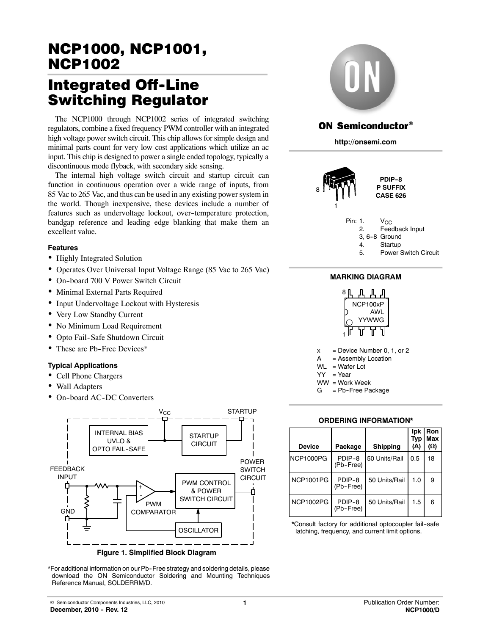# **Integrated Off-Line** Switching Regulator

The NCP1000 through NCP1002 series of integrated switching regulators, combine a fixed frequency PWM controller with an integrated high voltage power switch circuit. This chip allows for simple design and minimal parts count for very low cost applications which utilize an ac input. This chip is designed to power a single ended topology, typically a discontinuous mode flyback, with secondary side sensing.

The internal high voltage switch circuit and startup circuit can function in continuous operation over a wide range of inputs, from 85 Vac to 265 Vac, and thus can be used in any existing power system in the world. Though inexpensive, these devices include a number of features such as undervoltage lockout, over-temperature protection, bandgap reference and leading edge blanking that make them an excellent value.

## **Features**

- Highly Integrated Solution
- Operates Over Universal Input Voltage Range (85 Vac to 265 Vac)
- On-board 700 V Power Switch Circuit
- Minimal External Parts Required
- Input Undervoltage Lockout with Hysteresis
- Very Low Standby Current
- No Minimum Load Requirement
- Opto Fail-Safe Shutdown Circuit
- These are Pb-Free Devices\*

## **Typical Applications**

- Cell Phone Chargers
- Wall Adapters
- On-board AC-DC Converters



\*For additional information on our Pb--Free strategy and soldering details, please download the ON Semiconductor Soldering and Mounting Techniques Reference Manual, SOLDERRM/D.



# ON Semiconductor®

**http://onsemi.com**



## **MARKING DIAGRAM**



- $x =$  Device Number 0, 1, or 2
- A = Assembly Location
- $WL = Water Lot$
- YY = Year
- WW = Work Week
- $G = Pb$ -Free Package

#### **ORDERING INFORMATION\***

| <b>Device</b>    | Package             | <b>Shipping</b> | lpk<br><b>Typ</b><br>(A) | Ron<br>Max<br>(Ω) |
|------------------|---------------------|-----------------|--------------------------|-------------------|
| INCP1000PG       | PDIP-8<br>(Pb-Free) | 50 Units/Rail   | 0.5                      | 18                |
| <b>NCP1001PG</b> | PDIP-8<br>(Pb-Free) | 50 Units/Rail   | 1.0                      | 9                 |
| <b>NCP1002PG</b> | PDIP-8<br>(Pb-Free) | 50 Units/Rail   | 1.5                      | 6                 |

\*Consult factory for additional optocoupler fail--safe latching, frequency, and current limit options.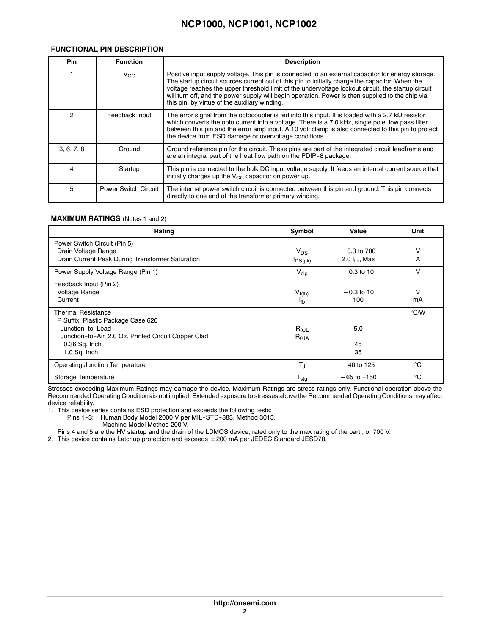#### **FUNCTIONAL PIN DESCRIPTION**

| Pin        | <b>Function</b>             | <b>Description</b>                                                                                                                                                                                                                                                                                                                                                                                                                                              |
|------------|-----------------------------|-----------------------------------------------------------------------------------------------------------------------------------------------------------------------------------------------------------------------------------------------------------------------------------------------------------------------------------------------------------------------------------------------------------------------------------------------------------------|
|            | $V_{\rm GC}$                | Positive input supply voltage. This pin is connected to an external capacitor for energy storage.<br>The startup circuit sources current out of this pin to initially charge the capacitor. When the<br>voltage reaches the upper threshold limit of the undervoltage lockout circuit, the startup circuit<br>will turn off, and the power supply will begin operation. Power is then supplied to the chip via<br>this pin, by virtue of the auxiliary winding. |
| 2          | Feedback Input              | The error signal from the optocoupler is fed into this input. It is loaded with a 2.7 k $\Omega$ resistor<br>which converts the opto current into a voltage. There is a 7.0 kHz, single pole, low pass filter<br>between this pin and the error amp input. A 10 volt clamp is also connected to this pin to protect<br>the device from ESD damage or overvoltage conditions.                                                                                    |
| 3, 6, 7, 8 | Ground                      | Ground reference pin for the circuit. These pins are part of the integrated circuit leadframe and<br>are an integral part of the heat flow path on the PDIP-8 package.                                                                                                                                                                                                                                                                                          |
| 4          | Startup                     | This pin is connected to the bulk DC input voltage supply. It feeds an internal current source that<br>initially charges up the $V_{CC}$ capacitor on power up.                                                                                                                                                                                                                                                                                                 |
| 5          | <b>Power Switch Circuit</b> | The internal power switch circuit is connected between this pin and ground. This pin connects<br>directly to one end of the transformer primary winding.                                                                                                                                                                                                                                                                                                        |

## **MAXIMUM RATINGS** (Notes 1 and 2)

| Rating                                                                                                                                                                           | Symbol                            | Value                              | Unit    |
|----------------------------------------------------------------------------------------------------------------------------------------------------------------------------------|-----------------------------------|------------------------------------|---------|
| Power Switch Circuit (Pin 5)<br>Drain Voltage Range<br>Drain Current Peak During Transformer Saturation                                                                          | $V_{DS}$<br>$I_{DS(pk)}$          | $-0.3$ to 700<br>2.0 $I_{lim}$ Max | ν<br>A  |
| Power Supply Voltage Range (Pin 1)                                                                                                                                               | $V_{\text{clp}}$                  | $-0.3$ to 10                       | $\vee$  |
| Feedback Input (Pin 2)<br><b>Voltage Range</b><br>Current                                                                                                                        | $V_{I(fb)}$<br><sup>I</sup> fb    | $-0.3$ to 10<br>100                | V<br>mA |
| <b>Thermal Resistance</b><br>P Suffix, Plastic Package Case 626<br>Junction-to-Lead<br>Junction-to-Air, 2.0 Oz. Printed Circuit Copper Clad<br>$0.36$ Sq. Inch<br>$1.0$ Sq. Inch | $R_{\theta$ JL<br>$R_{\theta,JA}$ | 5.0<br>45<br>35                    | °C/W    |
| <b>Operating Junction Temperature</b>                                                                                                                                            | $T_{\rm J}$                       | $-40$ to 125                       | °C      |
| Storage Temperature                                                                                                                                                              | $\mathsf{T_{stg}}$                | $-65$ to $+150$                    | °C      |

Stresses exceeding Maximum Ratings may damage the device. Maximum Ratings are stress ratings only. Functional operation above the Recommended Operating Conditions is not implied. Extended exposure to stresses above the Recommended Operating Conditions may affect device reliability.

1. This device series contains ESD protection and exceeds the following tests:

Pins 1-3: Human Body Model 2000 V per MIL-STD-883, Method 3015.

Machine Model Method 200 V.

Pins 4 and 5 are the HV startup and the drain of the LDMOS device, rated only to the max rating of the part , or 700 V.

2. This device contains Latchup protection and exceeds  $\pm 200$  mA per JEDEC Standard JESD78.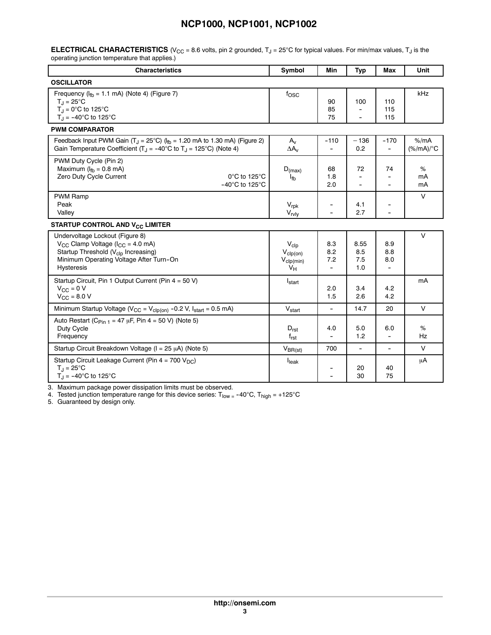**ELECTRICAL CHARACTERISTICS** (V<sub>CC</sub> = 8.6 volts, pin 2 grounded, T<sub>J</sub> = 25°C for typical values. For min/max values, T<sub>J</sub> is the operating junction temperature that applies.)

| <b>Characteristics</b>                                                                                                                                                                            | Symbol                                                    | <b>Min</b>             | <b>Typ</b>                | <b>Max</b>                                    | Unit                  |
|---------------------------------------------------------------------------------------------------------------------------------------------------------------------------------------------------|-----------------------------------------------------------|------------------------|---------------------------|-----------------------------------------------|-----------------------|
| <b>OSCILLATOR</b>                                                                                                                                                                                 |                                                           |                        |                           |                                               |                       |
| Frequency ( $I_{\text{fb}}$ = 1.1 mA) (Note 4) (Figure 7)<br>$T_{\text{J}}$ = 25°C<br>$T_{\text{J}}$ = 0°C to 125°C<br>$T_J = -40^{\circ}$ C to 125°C                                             | fosc                                                      | 90<br>85<br>75         | 100<br>$\overline{a}$     | 110<br>115<br>115                             | kHz                   |
| <b>PWM COMPARATOR</b>                                                                                                                                                                             |                                                           |                        |                           |                                               |                       |
| Feedback Input PWM Gain $(T_1 = 25^{\circ}\text{C})$ ( $I_{\text{fb}} = 1.20$ mA to 1.30 mA) (Figure 2)<br>Gain Temperature Coefficient $(T_1 = -40^{\circ}C$ to $T_1 = 125^{\circ}C$ (Note 4)    | $A_{v}$<br>$\Delta A_{V}$                                 | $-110$<br>-            | $-136$<br>0.2             | $-170$<br>$\frac{1}{2}$                       | % /mA<br>$(\%/mA)/°C$ |
| PWM Duty Cycle (Pin 2)<br>Maximum ( $I_{fb} = 0.8$ mA)<br>Zero Duty Cycle Current<br>$0^{\circ}$ C to 125 $^{\circ}$ C<br>$-40^{\circ}$ C to 125 $^{\circ}$ C                                     | $D_{(max)}$<br><b>If</b> b                                | 68<br>1.8<br>2.0       | 72<br>$\overline{a}$      | 74                                            | %<br>mA<br>mA         |
| <b>PWM Ramp</b><br>Peak<br>Valley                                                                                                                                                                 | $V_{\text{rpk}}$<br>$V_{\text{rvly}}$                     | ÷                      | 4.1<br>2.7                |                                               | $\vee$                |
| STARTUP CONTROL AND V <sub>CC</sub> LIMITER                                                                                                                                                       |                                                           |                        |                           |                                               |                       |
| Undervoltage Lockout (Figure 8)<br>$V_{CC}$ Clamp Voltage ( $I_{CC}$ = 4.0 mA)<br>Startup Threshold (V <sub>clp</sub> Increasing)<br>Minimum Operating Voltage After Turn-On<br><b>Hysteresis</b> | $V_{\text{clp}}$<br>$V_{clp(on)}$<br>$V_{clp(min)}$<br>Vн | 8.3<br>8.2<br>7.2<br>- | 8.55<br>8.5<br>7.5<br>1.0 | 8.9<br>8.8<br>8.0<br>$\overline{\phantom{a}}$ | $\vee$                |
| Startup Circuit, Pin 1 Output Current (Pin 4 = 50 V)<br>$V_{\rm CC}$ = 0 V<br>$V_{\text{CC}} = 8.0 \text{ V}$                                                                                     | $I_{\text{start}}$                                        | 2.0<br>1.5             | 3.4<br>2.6                | 4.2<br>4.2                                    | mA                    |
| Minimum Startup Voltage ( $V_{CC} = V_{clp(on)} -0.2$ V, $I_{start} = 0.5$ mA)                                                                                                                    | V <sub>start</sub>                                        | $\ddot{\phantom{1}}$   | 14.7                      | 20                                            | $\vee$                |
| Auto Restart ( $C_{\text{Pin 1}}$ = 47 µF, Pin 4 = 50 V) (Note 5)<br>Duty Cycle<br>Frequency                                                                                                      | $D_{rst}$<br>$f_{rst}$                                    | 4.0<br>L               | 5.0<br>1.2                | 6.0<br>$\tilde{\phantom{a}}$                  | %<br><b>Hz</b>        |
| Startup Circuit Breakdown Voltage (I = 25 µA) (Note 5)                                                                                                                                            | $V_{BR(st)}$                                              | 700                    | $\ddot{\phantom{0}}$      | $\hat{\phantom{a}}$                           | $\vee$                |
| Startup Circuit Leakage Current (Pin $4 = 700 V_{DC}$ )<br>$T_{\text{J}} = 25^{\circ}$ C<br>$T_1 = -40^{\circ}$ C to 125°C                                                                        | I <sub>leak</sub>                                         | ۰                      | 20<br>30                  | 40<br>75                                      | μA                    |

3. Maximum package power dissipation limits must be observed.

4. Tested junction temperature range for this device series: T<sub>low =</sub> -40°C, T<sub>high</sub> = +125°C<br>5. Guaranteed by design only.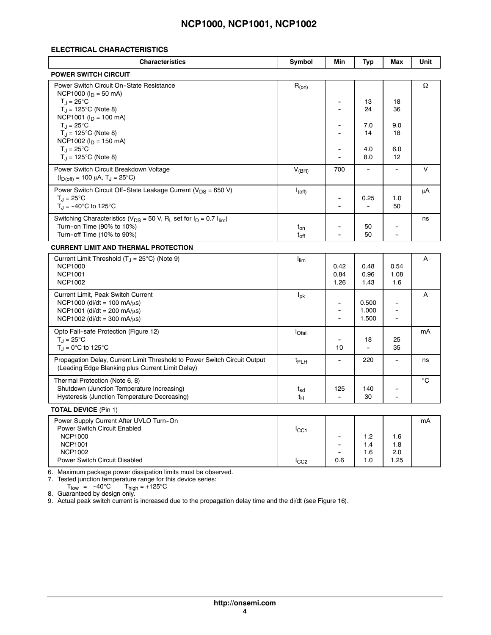## **ELECTRICAL CHARACTERISTICS**

| <b>Characteristics</b>                                                                                                                                                | Symbol                     | Min                                                                    | Typ                      | Max                       | Unit   |  |  |  |
|-----------------------------------------------------------------------------------------------------------------------------------------------------------------------|----------------------------|------------------------------------------------------------------------|--------------------------|---------------------------|--------|--|--|--|
| <b>POWER SWITCH CIRCUIT</b>                                                                                                                                           |                            |                                                                        |                          |                           |        |  |  |  |
| Power Switch Circuit On-State Resistance<br>NCP1000 ( $I_D$ = 50 mA)<br>$T_{\rm J}$ = 25°C<br>$T_J = 125^{\circ}C$ (Note 8)                                           | $R_{(on)}$                 | $\overline{\phantom{a}}$                                               | 13<br>24                 | 18<br>36                  | Ω      |  |  |  |
| NCP1001 ( $I_D$ = 100 mA)<br>$T_J = 25^{\circ}C$<br>$T_J = 125^{\circ}C$ (Note 8)<br>NCP1002 ( $I_D$ = 150 mA)                                                        |                            |                                                                        | 7.0<br>14                | 9.0<br>18                 |        |  |  |  |
| $T_J = 25^{\circ}C$<br>$T_J = 125^{\circ}C$ (Note 8)                                                                                                                  |                            |                                                                        | 4.0<br>8.0               | 6.0<br>12                 |        |  |  |  |
| Power Switch Circuit Breakdown Voltage<br>$(I_{D(off)} = 100 \mu A, T_J = 25^{\circ}C)$                                                                               | $V_{(BR)}$                 | 700                                                                    |                          |                           | $\vee$ |  |  |  |
| Power Switch Circuit Off-State Leakage Current ( $V_{DS}$ = 650 V)<br>$T_{\rm J} = 25^{\circ}$ C<br>$T_J = -40$ °C to 125°C                                           | $I_{\text{(off)}}$         | $\overline{a}$<br>$\frac{1}{2}$                                        | 0.25                     | 1.0<br>50                 | μA     |  |  |  |
| Switching Characteristics ( $V_{DS}$ = 50 V, R <sub>L</sub> set for $I_D$ = 0.7 $I_{lim}$ )<br>Turn-on Time (90% to 10%)<br>Turn-off Time (10% to 90%)                | $t_{on}$<br>$t_{off}$      | $\frac{1}{2}$                                                          | 50<br>50                 |                           | ns     |  |  |  |
| <b>CURRENT LIMIT AND THERMAL PROTECTION</b>                                                                                                                           |                            |                                                                        |                          |                           |        |  |  |  |
| Current Limit Threshold $(T_1 = 25^{\circ}C)$ (Note 9)<br><b>NCP1000</b><br><b>NCP1001</b><br><b>NCP1002</b>                                                          | $I_{\text{lim}}$           | 0.42<br>0.84<br>1.26                                                   | 0.48<br>0.96<br>1.43     | 0.54<br>1.08<br>1.6       | A      |  |  |  |
| Current Limit, Peak Switch Current<br>$NCP1000$ (di/dt = 100 mA/us)<br>$NCP1001$ (di/dt = 200 mA/us)<br>$NCP1002$ (di/dt = 300 mA/us)                                 | $I_{\text{pk}}$            | $\overline{a}$<br>$\overline{\phantom{a}}$<br>$\overline{\phantom{0}}$ | 0.500<br>1.000<br>1.500  | $\overline{a}$<br>۰       | A      |  |  |  |
| Opto Fail-safe Protection (Figure 12)<br>$T_{\rm J} = 25^{\circ}$ C<br>$T_J = 0^\circ C$ to 125°C                                                                     | <b>I</b> Ofail             | 10                                                                     | 18                       | 25<br>35                  | mA     |  |  |  |
| Propagation Delay, Current Limit Threshold to Power Switch Circuit Output<br>(Leading Edge Blanking plus Current Limit Delay)                                         | t <sub>PLH</sub>           | $\frac{1}{2}$                                                          | 220                      | $\overline{\phantom{a}}$  | ns     |  |  |  |
| Thermal Protection (Note 6, 8)<br>Shutdown (Junction Temperature Increasing)<br>Hysteresis (Junction Temperature Decreasing)                                          | $t_{\sf sd}$<br>tн         | 125<br>$\tilde{\phantom{a}}$                                           | 140<br>30                | $\overline{a}$            | °C     |  |  |  |
| <b>TOTAL DEVICE (Pin 1)</b>                                                                                                                                           |                            |                                                                        |                          |                           |        |  |  |  |
| Power Supply Current After UVLO Turn-On<br>Power Switch Circuit Enabled<br><b>NCP1000</b><br><b>NCP1001</b><br><b>NCP1002</b><br><b>Power Switch Circuit Disabled</b> | $I_{\rm CC1}$<br>$I_{CC2}$ | $\overline{a}$<br>0.6                                                  | 1.2<br>1.4<br>1.6<br>1.0 | 1.6<br>1.8<br>2.0<br>1.25 | mA     |  |  |  |
| 6. Maximum package power dissipation limits must be observed.                                                                                                         |                            |                                                                        |                          |                           |        |  |  |  |

7. Tested junction temperature range for this device series:

 $T_{low}$  =  $-40^{\circ}$ C  $T_{high}$  = +125°C 8. Guaranteed by design only.

9. Actual peak switch current is increased due to the propagation delay time and the di/dt (see Figure 16).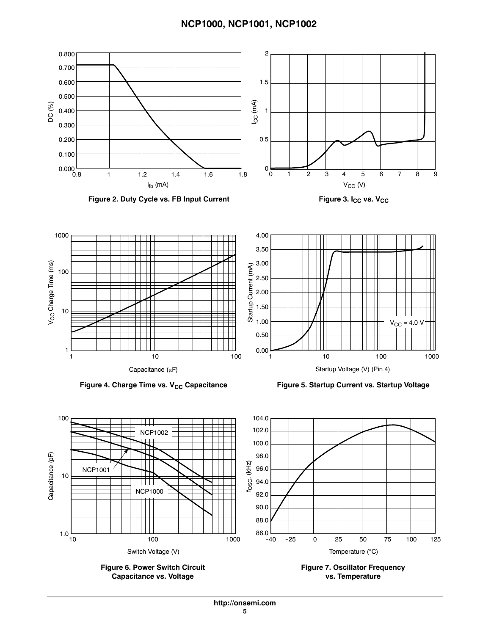

**Figure 2. Duty Cycle vs. FB Input Current Figure 3. I<sub>CC</sub> vs. V<sub>CC</sub>** 





**Figure 4. Charge Time vs. V<sub>CC</sub> Capacitance** 

**Figure 5. Startup Current vs. Startup Voltage**

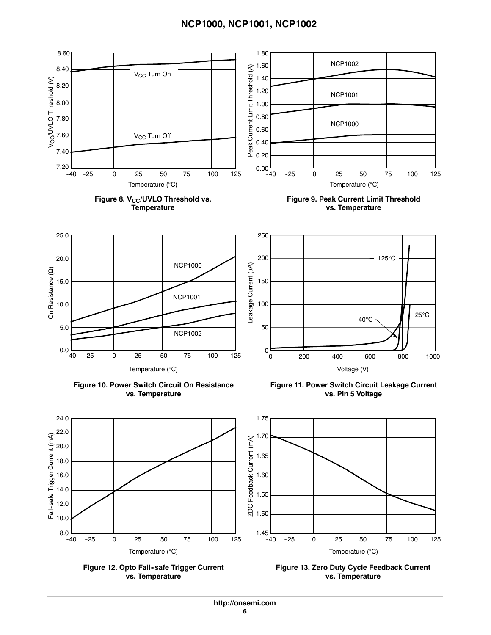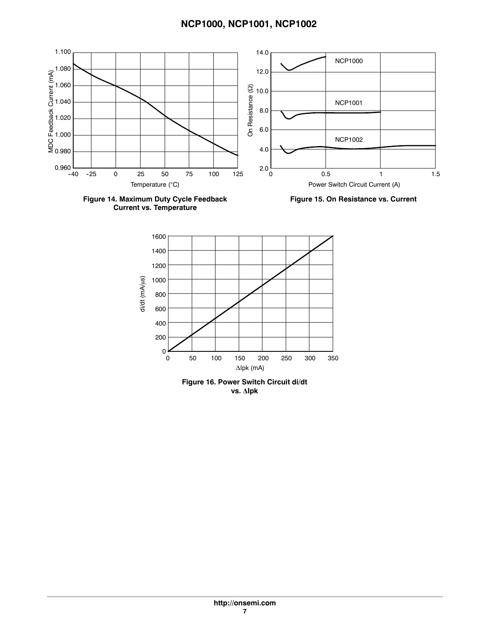







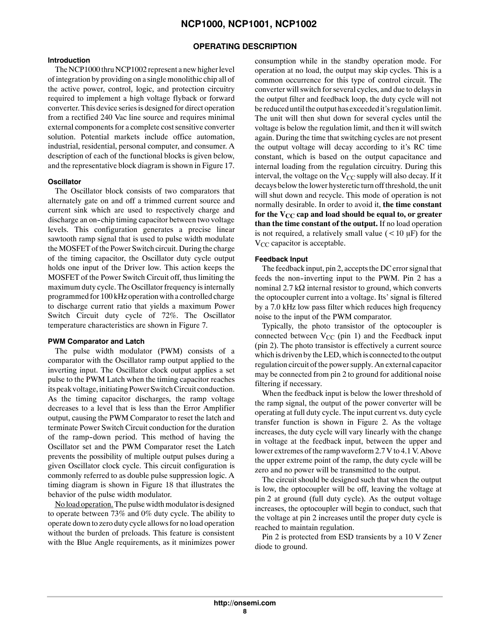# **OPERATING DESCRIPTION**

#### **Introduction**

The NCP1000 thru NCP1002 represent a new higher level of integration by providing on a single monolithic chip all of the active power, control, logic, and protection circuitry required to implement a high voltage flyback or forward converter. This device series is designed for direct operation from a rectified 240 Vac line source and requires minimal external components for a complete cost sensitive converter solution. Potential markets include office automation, industrial, residential, personal computer, and consumer. A description of each of the functional blocks is given below, and the representative block diagram is shown in Figure 17.

## **Oscillator**

The Oscillator block consists of two comparators that alternately gate on and off a trimmed current source and current sink which are used to respectively charge and discharge an on--chip timing capacitor between two voltage levels. This configuration generates a precise linear sawtooth ramp signal that is used to pulse width modulate theMOSFET of the Power Switch circuit. During the charge of the timing capacitor, the Oscillator duty cycle output holds one input of the Driver low. This action keeps the MOSFET of the Power Switch Circuit off, thus limiting the maximum duty cycle. The Oscillator frequency is internally programmed for 100 kHz operation with a controlled charge to discharge current ratio that yields a maximum Power Switch Circuit duty cycle of 72%. The Oscillator temperature characteristics are shown in Figure 7.

## **PWM Comparator and Latch**

The pulse width modulator (PWM) consists of a comparator with the Oscillator ramp output applied to the inverting input. The Oscillator clock output applies a set pulse to the PWM Latch when the timing capacitor reaches its peak voltage, initiating Power Switch Circuit conduction. As the timing capacitor discharges, the ramp voltage decreases to a level that is less than the Error Amplifier output, causing the PWM Comparator to reset the latch and terminate Power Switch Circuit conduction for the duration of the ramp-down period. This method of having the Oscillator set and the PWM Comparator reset the Latch prevents the possibility of multiple output pulses during a given Oscillator clock cycle. This circuit configuration is commonly referred to as double pulse suppression logic. A timing diagram is shown in Figure 18 that illustrates the behavior of the pulse width modulator.

No load operation.The pulse width modulator is designed to operate between 73% and 0% duty cycle. The ability to operate down to zero duty cycle allows for no load operation without the burden of preloads. This feature is consistent with the Blue Angle requirements, as it minimizes power consumption while in the standby operation mode. For operation at no load, the output may skip cycles. This is a common occurrence for this type of control circuit. The converter will switch for several cycles, and due to delays in the output filter and feedback loop, the duty cycle will not be reduced until the output has exceeded it's regulation limit. The unit will then shut down for several cycles until the voltage is below the regulation limit, and then it will switch again. During the time that switching cycles are not present the output voltage will decay according to it's RC time constant, which is based on the output capacitance and internal loading from the regulation circuitry. During this interval, the voltage on the  $V_{CC}$  supply will also decay. If it decays below the lower hysteretic turn off threshold, the unit will shut down and recycle. This mode of operation is not normally desirable. In order to avoid it, **the time constant** for the V<sub>CC</sub> cap and load should be equal to, or greater **than the time constant of the output.** If no load operation is not required, a relatively small value  $(<10 \mu F)$  for the  $V_{CC}$  capacitor is acceptable.

## **Feedback Input**

The feedback input, pin 2, accepts the DC error signal that feeds the non-inverting input to the PWM. Pin 2 has a nominal 2.7 kΩ internal resistor to ground, which converts the optocoupler current into a voltage. Its' signal is filtered by a 7.0 kHz low pass filter which reduces high frequency noise to the input of the PWM comparator.

Typically, the photo transistor of the optocoupler is connected between  $V_{CC}$  (pin 1) and the Feedback input (pin 2). The photo transistor is effectively a current source which is driven by the LED, which is connected to the output regulation circuit of the power supply. An external capacitor may be connected from pin 2 to ground for additional noise filtering if necessary.

When the feedback input is below the lower threshold of the ramp signal, the output of the power converter will be operating at full duty cycle. The input current vs. duty cycle transfer function is shown in Figure 2. As the voltage increases, the duty cycle will vary linearly with the change in voltage at the feedback input, between the upper and lower extremes of the ramp waveform 2.7 V to 4.1 V. Above the upper extreme point of the ramp, the duty cycle will be zero and no power will be transmitted to the output.

The circuit should be designed such that when the output is low, the optocoupler will be off, leaving the voltage at pin 2 at ground (full duty cycle). As the output voltage increases, the optocoupler will begin to conduct, such that the voltage at pin 2 increases until the proper duty cycle is reached to maintain regulation.

Pin 2 is protected from ESD transients by a 10 V Zener diode to ground.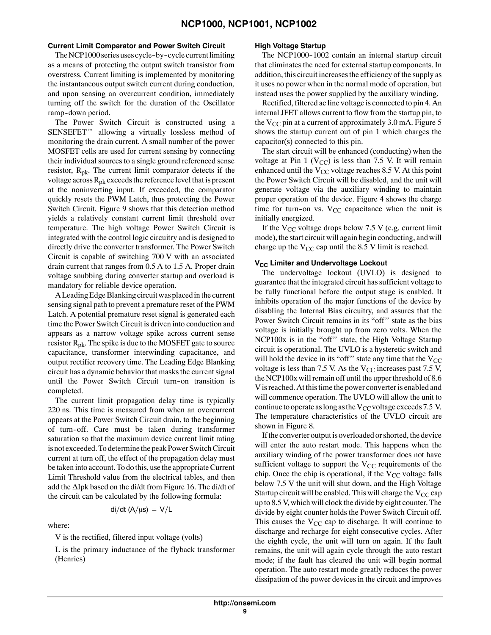#### **Current Limit Comparator and Power Switch Circuit**

The NCP1000 series uses cycle-by-cycle current limiting as a means of protecting the output switch transistor from overstress. Current limiting is implemented by monitoring the instantaneous output switch current during conduction, and upon sensing an overcurrent condition, immediately turning off the switch for the duration of the Oscillator ramp-down period.

The Power Switch Circuit is constructed using a SENSEFET<sup> $m$ </sup> allowing a virtually lossless method of monitoring the drain current. A small number of the power MOSFET cells are used for current sensing by connecting their individual sources to a single ground referenced sense resistor,  $R_{pk}$ . The current limit comparator detects if the voltage across  $R_{pk}$  exceeds the reference level that is present at the noninverting input. If exceeded, the comparator quickly resets the PWM Latch, thus protecting the Power Switch Circuit. Figure 9 shows that this detection method yields a relatively constant current limit threshold over temperature. The high voltage Power Switch Circuit is integrated with the control logic circuitry and is designed to directly drive the converter transformer. The Power Switch Circuit is capable of switching 700 V with an associated drain current that ranges from 0.5 A to 1.5 A. Proper drain voltage snubbing during converter startup and overload is mandatory for reliable device operation.

A Leading Edge Blanking circuit was placed in the current sensing signal path to prevent a premature reset of the PWM Latch. A potential premature reset signal is generated each time the Power Switch Circuit is driven into conduction and appears as a narrow voltage spike across current sense resistor  $R_{pk}$ . The spike is due to the MOSFET gate to source capacitance, transformer interwinding capacitance, and output rectifier recovery time. The Leading Edge Blanking circuit has a dynamic behavior that masks the current signal until the Power Switch Circuit turn-on transition is completed.

The current limit propagation delay time is typically 220 ns. This time is measured from when an overcurrent appears at the Power Switch Circuit drain, to the beginning of turn-off. Care must be taken during transformer saturation so that the maximum device current limit rating is not exceeded. To determine the peak Power Switch Circuit current at turn off, the effect of the propagation delay must be taken into account. To do this, use the appropriate Current Limit Threshold value from the electrical tables, and then add the ΔIpk based on the di/dt from Figure 16. The di/dt of the circuit can be calculated by the following formula:

$$
di/dt\;(A/\mu s)\,=\,V/L
$$

where:

V is the rectified, filtered input voltage (volts)

L is the primary inductance of the flyback transformer (Henries)

#### **High Voltage Startup**

The NCP1000-1002 contain an internal startup circuit that eliminates the need for external startup components. In addition, this circuit increases the efficiency of the supply as it uses no power when in the normal mode of operation, but instead uses the power supplied by the auxiliary winding.

Rectified, filtered ac line voltage is connected to pin 4. An internal JFET allows current to flow from the startup pin, to the  $V_{CC}$  pin at a current of approximately 3.0 mA. Figure 5 shows the startup current out of pin 1 which charges the capacitor(s) connected to this pin.

The start circuit will be enhanced (conducting) when the voltage at Pin 1 ( $V_{CC}$ ) is less than 7.5 V. It will remain enhanced until the  $V_{CC}$  voltage reaches 8.5 V. At this point the Power Switch Circuit will be disabled, and the unit will generate voltage via the auxiliary winding to maintain proper operation of the device. Figure 4 shows the charge time for turn-on vs.  $V_{CC}$  capacitance when the unit is initially energized.

If the  $V_{CC}$  voltage drops below 7.5 V (e.g. current limit mode), the start circuit will again begin conducting, and will charge up the  $V_{CC}$  cap until the 8.5 V limit is reached.

#### **V<sub>CC</sub>** Limiter and Undervoltage Lockout

The undervoltage lockout (UVLO) is designed to guarantee that the integrated circuit has sufficient voltage to be fully functional before the output stage is enabled. It inhibits operation of the major functions of the device by disabling the Internal Bias circuitry, and assures that the Power Switch Circuit remains in its "off'' state as the bias voltage is initially brought up from zero volts. When the NCP100x is in the "off'' state, the High Voltage Startup circuit is operational. The UVLO is a hysteretic switch and will hold the device in its "off" state any time that the  $V_{CC}$ voltage is less than 7.5 V. As the  $V_{CC}$  increases past 7.5 V, the NCP100x will remain off until the upper threshold of 8.6 V is reached. At this time the power converter is enabled and will commence operation. The UVLO will allow the unit to continue to operate as long as the  $V_{CC}$  voltage exceeds 7.5 V. The temperature characteristics of the UVLO circuit are shown in Figure 8.

If the converter outputis overloaded or shorted, the device will enter the auto restart mode. This happens when the auxiliary winding of the power transformer does not have sufficient voltage to support the  $V_{CC}$  requirements of the chip. Once the chip is operational, if the  $V_{CC}$  voltage falls below 7.5 V the unit will shut down, and the High Voltage Startup circuit will be enabled. This will charge the  $V_{CC}$  cap up to 8.5 V, which will clock the divide by eight counter. The divide by eight counter holds the Power Switch Circuit off. This causes the  $V_{CC}$  cap to discharge. It will continue to discharge and recharge for eight consecutive cycles. After the eighth cycle, the unit will turn on again. If the fault remains, the unit will again cycle through the auto restart mode; if the fault has cleared the unit will begin normal operation. The auto restart mode greatly reduces the power dissipation of the power devices in the circuit and improves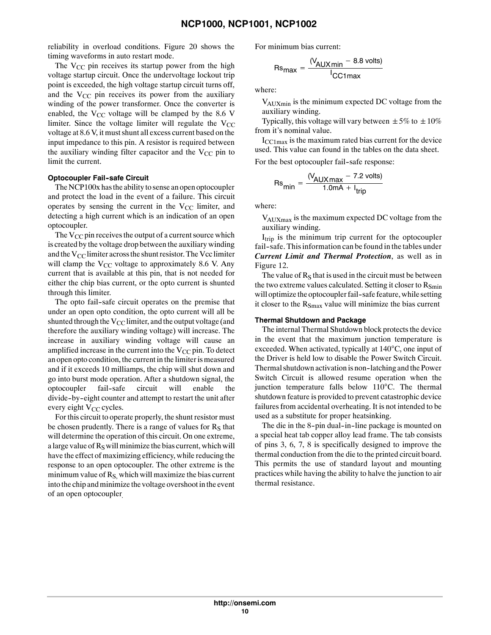reliability in overload conditions. Figure 20 shows the timing waveforms in auto restart mode.

The  $V_{CC}$  pin receives its startup power from the high voltage startup circuit. Once the undervoltage lockout trip point is exceeded, the high voltage startup circuit turns off, and the  $V_{CC}$  pin receives its power from the auxiliary winding of the power transformer. Once the converter is enabled, the  $V_{CC}$  voltage will be clamped by the 8.6 V limiter. Since the voltage limiter will regulate the  $V_{CC}$ voltage at 8.6 V, it must shunt all excess current based on the input impedance to this pin. A resistor is required between the auxiliary winding filter capacitor and the  $V_{CC}$  pin to limit the current.

#### **Optocoupler Fail-safe Circuit**

The NCP100x has the ability to sense an open optocoupler and protect the load in the event of a failure. This circuit operates by sensing the current in the  $V_{CC}$  limiter, and detecting a high current which is an indication of an open optocoupler.

The  $V_{CC}$  pin receives the output of a current source which is created by the voltage drop between the auxiliary winding and the  $V_{CC}$  limiter across the shunt resistor. The Vcc limiter will clamp the  $V_{CC}$  voltage to approximately 8.6 V. Any current that is available at this pin, that is not needed for either the chip bias current, or the opto current is shunted through this limiter.

The opto fail-safe circuit operates on the premise that under an open opto condition, the opto current will all be shunted through the  $V_{CC}$  limiter, and the output voltage (and therefore the auxiliary winding voltage) will increase. The increase in auxiliary winding voltage will cause an amplified increase in the current into the  $V_{CC}$  pin. To detect an open opto condition, the current in the limiter is measured and if it exceeds 10 milliamps, the chip will shut down and go into burst mode operation. After a shutdown signal, the optocoupler fail--safe circuit will enable the divide-by-eight counter and attempt to restart the unit after every eight  $V_{CC}$  cycles.

For this circuit to operate properly, the shunt resistor must be chosen prudently. There is a range of values for  $R<sub>S</sub>$  that will determine the operation of this circuit. On one extreme, a large value of  $R<sub>S</sub>$  will minimize the bias current, which will have the effect of maximizing efficiency, while reducing the response to an open optocoupler. The other extreme is the minimum value of  $R<sub>S</sub>$ , which will maximize the bias current into the chip and minimize the voltage overshoot in the event of an open optocoupler.

For minimum bias current:

$$
Rs_{\text{max}} = \frac{(V_{\text{AUXmin}} - 8.8 \text{ volts})}{I_{\text{CCImax}}}
$$

where:

VAUXmin is the minimum expected DC voltage from the auxiliary winding.

Typically, this voltage will vary between  $\pm 5\%$  to  $\pm 10\%$ from it's nominal value.

 $I_{\text{CC1max}}$  is the maximum rated bias current for the device used. This value can found in the tables on the data sheet.

For the best optocoupler fail-safe response:

$$
\text{Rs}_{\text{min}} = \frac{(V_{\text{AUXmax}} - 7.2 \text{ volts})}{1.0 \text{mA} + I_{\text{trip}}}
$$

where:

 $V_{\text{AUXmax}}$  is the maximum expected DC voltage from the auxiliary winding.

I<sub>trip</sub> is the minimum trip current for the optocoupler fail-safe. This information can be found in the tables under *Current Limit and Thermal Protection*, as well as in Figure 12.

The value of  $R<sub>S</sub>$  that is used in the circuit must be between the two extreme values calculated. Setting it closer to  $R_{Smin}$ will optimize the optocoupler fail-safe feature, while setting it closer to the  $R_{Smax}$  value will minimize the bias current

#### **Thermal Shutdown and Package**

The internal Thermal Shutdown block protects the device in the event that the maximum junction temperature is exceeded. When activated, typically at  $140^{\circ}$ C, one input of the Driver is held low to disable the Power Switch Circuit. Thermal shutdown activation is non--latching and the Power Switch Circuit is allowed resume operation when the junction temperature falls below 110°C. The thermal shutdown feature is provided to prevent catastrophic device failures from accidental overheating. It is not intended to be used as a substitute for proper heatsinking.

The die in the 8-pin dual-in-line package is mounted on a special heat tab copper alloy lead frame. The tab consists of pins 3, 6, 7, 8 is specifically designed to improve the thermal conduction from the die to the printed circuit board. This permits the use of standard layout and mounting practices while having the ability to halve the junction to air thermal resistance.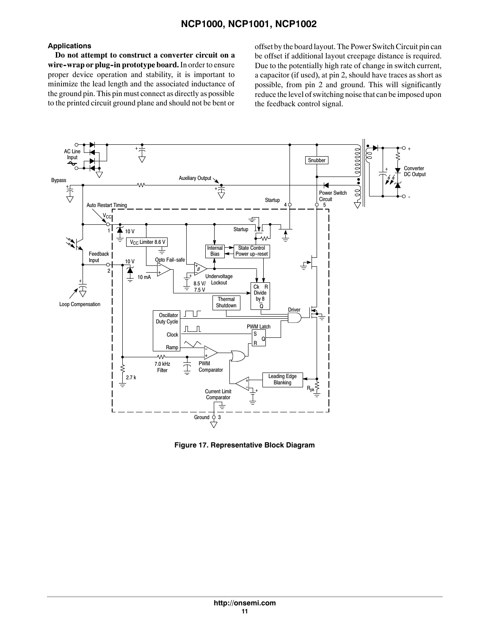# **Applications**

**Do not attempt to construct a converter circuit on a wire--wrap or plug--in prototype board.**In order to ensure proper device operation and stability, it is important to minimize the lead length and the associated inductance of the ground pin. This pin must connect as directly as possible to the printed circuit ground plane and should not be bent or

offset by the board layout. The Power Switch Circuit pin can be offset if additional layout creepage distance is required. Due to the potentially high rate of change in switch current, a capacitor (if used), at pin 2, should have traces as short as possible, from pin 2 and ground. This will significantly reduce the level of switching noise that can be imposed upon the feedback control signal.



**Figure 17. Representative Block Diagram**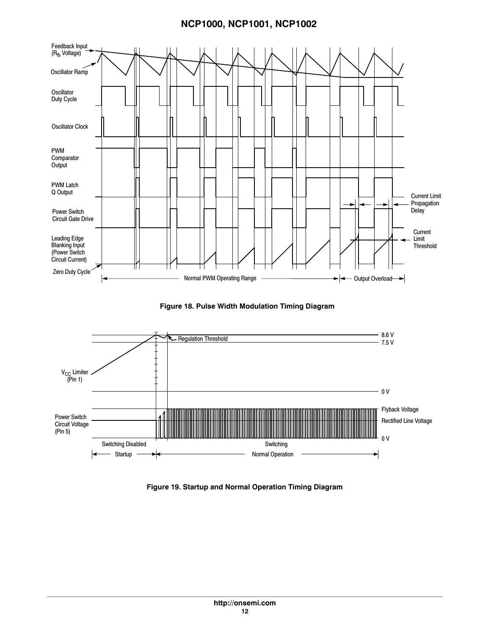





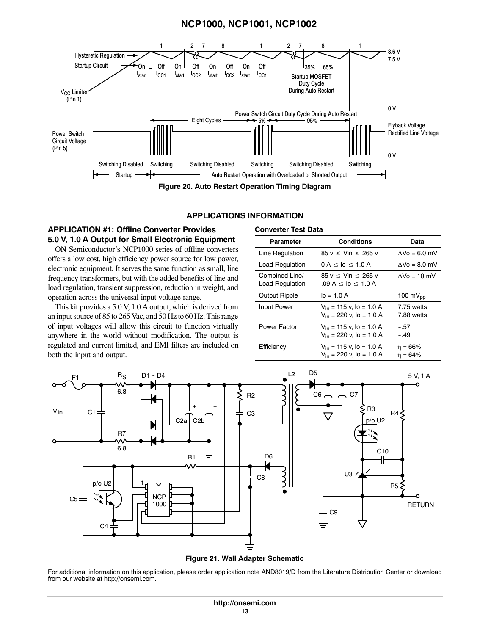

#### **APPLICATIONS INFORMATION**

# **APPLICATION #1: Offline Converter Provides 5.0 V, 1.0 A Output for Small Electronic Equipment**

ON Semiconductor's NCP1000 series of offline converters offers a low cost, high efficiency power source for low power, electronic equipment. It serves the same function as small, line frequency transformers, but with the added benefits of line and load regulation, transient suppression, reduction in weight, and operation across the universal input voltage range.

This kit provides a 5.0 V, 1.0 A output, which is derived from an input source of 85 to 265 Vac, and 50 Hz to 60 Hz. This range of input voltages will allow this circuit to function virtually anywhere in the world without modification. The output is regulated and current limited, and EMI filters are included on both the input and output.

**Converter Test Data**

| Parameter                                | <b>Conditions</b>                                                                    | Data                           |
|------------------------------------------|--------------------------------------------------------------------------------------|--------------------------------|
| Line Regulation                          | $85 \text{ v} \leq \text{V}$ in $\leq 265 \text{ v}$                                 | $\Delta V_0 = 6.0$ mV          |
| <b>Load Regulation</b>                   | $0 A \leq 10 \leq 1.0 A$                                                             | $\Delta$ Vo = 8.0 mV           |
| Combined Line/<br><b>Load Regulation</b> | $85 \text{ v} \leq \text{V}$ in $\leq 265 \text{ v}$<br>$.09 A \leq$ lo $\leq 1.0 A$ | $\Delta V_0 = 10$ mV           |
| Output Ripple                            | $I_0 = 1.0 A$                                                                        | 100 m $V_{pp}$                 |
| <b>Input Power</b>                       | $V_{in}$ = 115 v, lo = 1.0 A<br>$V_{in}$ = 220 v, lo = 1.0 A                         | 7.75 watts<br>7.88 watts       |
| Power Factor                             | $V_{in}$ = 115 v, lo = 1.0 A<br>$V_{in}$ = 220 v, lo = 1.0 A                         | $-.57$<br>$-.49$               |
| Efficiency                               | $V_{in}$ = 115 v, lo = 1.0 A<br>$V_{in}$ = 220 v, lo = 1.0 A                         | $\eta = 66\%$<br>$\eta = 64\%$ |



#### **Figure 21. Wall Adapter Schematic**

For additional information on this application, please order application note AND8019/D from the Literature Distribution Center or download from our website at http://onsemi.com.